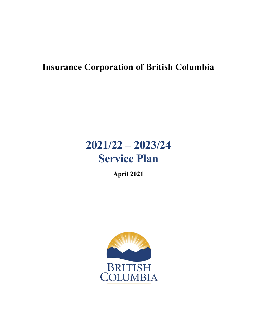# **Insurance Corporation of British Columbia**

# **2021/22 – 2023/24 Service Plan**

**April 2021**

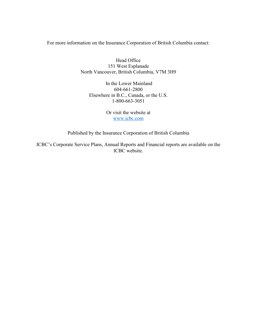For more information on the Insurance Corporation of British Columbia contact:

Head Office 151 West Esplanade North Vancouver, British Columbia, V7M 3H9

In the Lower Mainland 604-661-2800 Elsewhere in B.C., Canada, or the U.S. 1-800-663-3051

> Or visit the website at [www.icbc.com](http://www.icbc.com/)

Published by the Insurance Corporation of British Columbia

ICBC's Corporate Service Plans, Annual Reports and Financial reports are available on the ICBC website.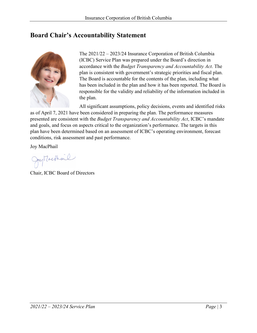### <span id="page-2-0"></span>**Board Chair's Accountability Statement**



The 2021/22 – 2023/24 Insurance Corporation of British Columbia (ICBC) Service Plan was prepared under the Board's direction in accordance with the *Budget Transparency and Accountability Act*. The plan is consistent with government's strategic priorities and fiscal plan. The Board is accountable for the contents of the plan, including what has been included in the plan and how it has been reported. The Board is responsible for the validity and reliability of the information included in the plan.

All significant assumptions, policy decisions, events and identified risks as of April 7, 2021 have been considered in preparing the plan. The performance measures presented are consistent with the *Budget Transparency and Accountability Act*, ICBC's mandate and goals, and focus on aspects critical to the organization's performance. The targets in this plan have been determined based on an assessment of ICBC's operating environment, forecast conditions, risk assessment and past performance.

Joy MacPhail

Jay Machail

Chair, ICBC Board of Directors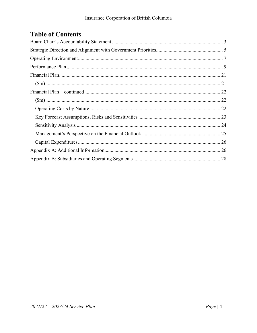# **Table of Contents**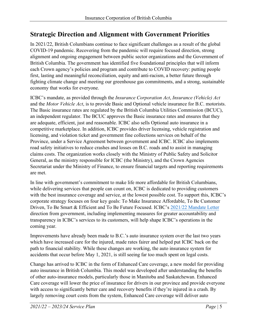# <span id="page-4-0"></span>**Strategic Direction and Alignment with Government Priorities**

In 2021/22, British Columbians continue to face significant challenges as a result of the global COVID-19 pandemic. Recovering from the pandemic will require focused direction, strong alignment and ongoing engagement between public sector organizations and the Government of British Columbia. The government has identified five foundational principles that will inform each Crown agency's policies and program and contribute to COVID recovery: putting people first, lasting and meaningful reconciliation, equity and anti-racism, a better future through fighting climate change and meeting our greenhouse gas commitments, and a strong, sustainable economy that works for everyone.

ICBC's mandate, as provided through the *Insurance Corporation Act*, *Insurance (Vehicle) Act* and the *Motor Vehicle Act*, is to provide Basic and Optional vehicle insurance for B.C. motorists. The Basic insurance rates are regulated by the British Columbia Utilities Commission (BCUC), an independent regulator. The BCUC approves the Basic insurance rates and ensures that they are adequate, efficient, just and reasonable. ICBC also sells Optional auto insurance in a competitive marketplace. In addition, ICBC provides driver licensing, vehicle registration and licensing, and violation ticket and government fine collections services on behalf of the Province, under a Service Agreement between government and ICBC. ICBC also implements road safety initiatives to reduce crashes and losses on B.C. roads and to assist in managing claims costs. The organization works closely with the Ministry of Public Safety and Solicitor General, as the ministry responsible for ICBC (the Ministry), and the Crown Agencies Secretariat under the Ministry of Finance, to ensure financial targets and reporting requirements are met.

In line with government's commitment to make life more affordable for British Columbians, while delivering services that people can count on, ICBC is dedicated to providing customers with the best insurance coverage and service, at the lowest possible cost. To support this, ICBC's corporate strategy focuses on four key goals: To Make Insurance Affordable, To Be Customer Driven, To Be Smart & Efficient and To Be Future Focused. ICBC's [2021/22 Mandate Letter](https://www.icbc.com/about-icbc/company-info/Documents/mandate-letter-2021-2022.pdf) direction from government, including implementing measures for greater accountability and transparency in ICBC's services to its customers, will help shape ICBC's operations in the coming year.

Improvements have already been made to B.C.'s auto insurance system over the last two years which have increased care for the injured, made rates fairer and helped put ICBC back on the path to financial stability. While these changes are working, the auto insurance system for accidents that occur before May 1, 2021, is still seeing far too much spent on legal costs.

Change has arrived to ICBC in the form of Enhanced Care coverage, a new model for providing auto insurance in British Columbia. This model was developed after understanding the benefits of other auto-insurance models, particularly those in Manitoba and Saskatchewan. Enhanced Care coverage will lower the price of insurance for drivers in our province and provide everyone with access to significantly better care and recovery benefits if they're injured in a crash. By largely removing court costs from the system, Enhanced Care coverage will deliver auto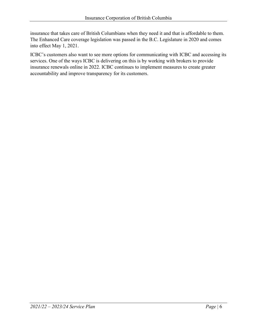insurance that takes care of British Columbians when they need it and that is affordable to them. The Enhanced Care coverage legislation was passed in the B.C. Legislature in 2020 and comes into effect May 1, 2021.

ICBC's customers also want to see more options for communicating with ICBC and accessing its services. One of the ways ICBC is delivering on this is by working with brokers to provide insurance renewals online in 2022. ICBC continues to implement measures to create greater accountability and improve transparency for its customers.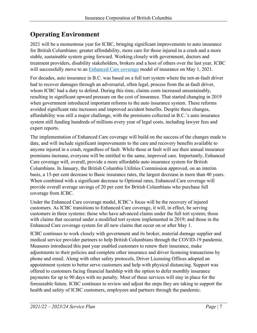# <span id="page-6-0"></span>**Operating Environment**

2021 will be a momentous year for ICBC, bringing significant improvements to auto insurance for British Columbians: greater affordability, more care for those injured in a crash and a more stable, sustainable system going forward. Working closely with government, doctors and treatment providers, disability stakeholders, brokers and a host of others over the last year, ICBC will successfully move to an [Enhanced Care coverage](https://enhancedcare.icbc.com/) model of insurance on May 1, 2021.

For decades, auto insurance in B.C. was based on a full tort system where the not-at-fault driver had to recover damages through an adversarial, often legal, process from the at-fault driver, whom ICBC had a duty to defend. During this time, claims costs increased unsustainably, resulting in significant upward pressure on the cost of insurance. That started changing in 2019 when government introduced important reforms to the auto insurance system. These reforms avoided significant rate increases and improved accident benefits. Despite these changes, affordability was still a major challenge, with the premiums collected in B.C.'s auto insurance system still funding hundreds of millions every year of legal costs, including lawyer fees and expert reports.

The implementation of Enhanced Care coverage will build on the success of the changes made to date, and will include significant improvements to the care and recovery benefits available to anyone injured in a crash, regardless of fault. While those at fault will see their annual insurance premiums increase, everyone will be entitled to the same, improved care. Importantly, Enhanced Care coverage will, overall, provide a more affordable auto insurance system for British Columbians. In January, the British Columbia Utilities Commission approved, on an interim basis, a 15-per cent decrease to Basic insurance rates, the largest decrease in more than 40 years. When combined with a significant decrease to Optional rates, Enhanced Care coverage will provide overall average savings of 20 per cent for British Columbians who purchase full coverage from ICBC.

Under the Enhanced Care coverage model, ICBC's focus will be the recovery of injured customers. As ICBC transitions to Enhanced Care coverage, it will, in effect, be serving customers in three systems: those who have advanced claims under the full tort system; those with claims that occurred under a modified tort system implemented in 2019; and those in the Enhanced Care coverage system for all new claims that occur on or after May 1.

ICBC continues to work closely with government and its broker, material damage supplier and medical service provider partners to help British Columbians through the COVID-19 pandemic. Measures introduced this past year enabled customers to renew their insurance, make adjustments to their policies and complete other insurance and driver licensing transactions by phone and email. Along with other safety protocols, Driver Licensing Offices adopted an appointment system to better serve customers and help with physical distancing. Support was offered to customers facing financial hardship with the option to defer monthly insurance payments for up to 90 days with no penalty. Most of these services will stay in place for the foreseeable future. ICBC continues to review and adjust the steps they are taking to support the health and safety of ICBC customers, employees and partners through the pandemic.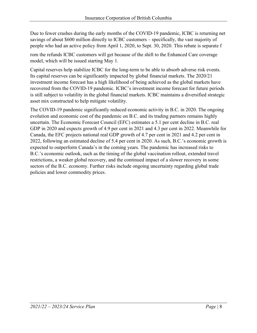Due to fewer crashes during the early months of the COVID-19 pandemic, ICBC is returning net savings of about \$600 million directly to ICBC customers – specifically, the vast majority of people who had an active policy from April 1, 2020, to Sept. 30, 2020. This rebate is separate f

rom the refunds ICBC customers will get because of the shift to the Enhanced Care coverage model, which will be issued starting May 1.

Capital reserves help stabilize ICBC for the long-term to be able to absorb adverse risk events. Its capital reserves can be significantly impacted by global financial markets. The 2020/21 investment income forecast has a high likelihood of being achieved as the global markets have recovered from the COVID-19 pandemic. ICBC's investment income forecast for future periods is still subject to volatility in the global financial markets. ICBC maintains a diversified strategic asset mix constructed to help mitigate volatility.

The COVID-19 pandemic significantly reduced economic activity in B.C. in 2020. The ongoing evolution and economic cost of the pandemic on B.C. and its trading partners remains highly uncertain. The Economic Forecast Council (EFC) estimates a 5.1 per cent decline in B.C. real GDP in 2020 and expects growth of 4.9 per cent in 2021 and 4.3 per cent in 2022. Meanwhile for Canada, the EFC projects national real GDP growth of 4.7 per cent in 2021 and 4.2 per cent in 2022, following an estimated decline of 5.4 per cent in 2020. As such, B.C.'s economic growth is expected to outperform Canada's in the coming years. The pandemic has increased risks to B.C.'s economic outlook, such as the timing of the global vaccination rollout, extended travel restrictions, a weaker global recovery, and the continued impact of a slower recovery in some sectors of the B.C. economy. Further risks include ongoing uncertainty regarding global trade policies and lower commodity prices.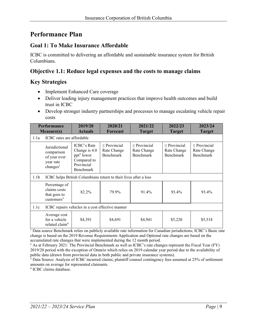# <span id="page-8-0"></span>**Performance Plan**

#### **Goal 1: To Make Insurance Affordable**

ICBC is committed to delivering an affordable and sustainable insurance system for British Columbians.

#### **Objective 1.1: Reduce legal expenses and the costs to manage claims**

#### **Key Strategies**

- Implement Enhanced Care coverage
- Deliver leading injury management practices that improve health outcomes and build trust in ICBC
- Develop stronger industry partnerships and processes to manage escalating vehicle repair costs

| <b>Performance</b>                                                                                                            |                                                                                   | 2019/20                                                                                                 | 2020/21                                                          | 2021/22                                              | 2022/23                                       | 2023/24                                       |  |  |
|-------------------------------------------------------------------------------------------------------------------------------|-----------------------------------------------------------------------------------|---------------------------------------------------------------------------------------------------------|------------------------------------------------------------------|------------------------------------------------------|-----------------------------------------------|-----------------------------------------------|--|--|
| <b>Actuals</b><br><b>Forecast</b><br><b>Measure(s)</b><br><b>Target</b><br><b>Target</b><br>ICBC rates are affordable<br>1.1a |                                                                                   |                                                                                                         |                                                                  |                                                      |                                               | <b>Target</b>                                 |  |  |
|                                                                                                                               | Jurisdictional<br>comparison<br>of year over<br>year rate<br>changes <sup>1</sup> | <b>ICBC's Rate</b><br>Change is 4.0<br>ppt <sup>2</sup> lower<br>Compared to<br>Provincial<br>Benchmark | $\leq$ Provincial<br>Rate Change<br>Benchmark                    | $\leq$ Provincial<br>Rate Change<br><b>Benchmark</b> | $\leq$ Provincial<br>Rate Change<br>Benchmark | $\leq$ Provincial<br>Rate Change<br>Benchmark |  |  |
| 1.1 <sub>b</sub>                                                                                                              |                                                                                   |                                                                                                         | ICBC helps British Columbians return to their lives after a loss |                                                      |                                               |                                               |  |  |
|                                                                                                                               | Percentage of<br>claims costs<br>that goes to<br>customers $3$                    | 82.2%                                                                                                   | 79.9%                                                            | 91.4%                                                | 93.4%                                         | 93.4%                                         |  |  |
| 1.1c                                                                                                                          | ICBC repairs vehicles in a cost effective manner                                  |                                                                                                         |                                                                  |                                                      |                                               |                                               |  |  |
|                                                                                                                               | Average cost<br>for a vehicle<br>related claim <sup>4</sup>                       | \$4,391                                                                                                 | \$4,691                                                          | \$4,941                                              | \$5,220                                       | \$5,518                                       |  |  |

<sup>1</sup> Data source Benchmark relies on publicly available rate information for Canadian jurisdictions; ICBC's Basic rate change is based on the 2019 Revenue Requirements Application and Optional rate changes are based on the accumulated rate changes that were implemented during the 12 month period.

<sup>2</sup> As at February 2021: The Provincial Benchmark as well as ICBC's rate changes represent the Fiscal Year (FY) 2019/20 period with the exception of Ontario which relies on 2019 calendar year period due to the availability of public data (drawn from provincial data in both public and private insurance systems).

<sup>3</sup> Data Source: Analysis of ICBC incurred claims; plaintiff counsel contingency fees assumed at 25% of settlement amounts on average for represented claimants.

<sup>4</sup> ICBC claims database.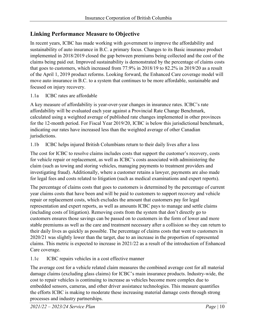#### **Linking Performance Measure to Objective**

In recent years, ICBC has made working with government to improve the affordability and sustainability of auto insurance in B.C. a primary focus. Changes to its Basic insurance product implemented in 2018/2019 closed the gap between premiums being collected and the cost of the claims being paid out. Improved sustainability is demonstrated by the percentage of claims costs that goes to customers, which increased from 77.9% in 2018/19 to 82.2% in 2019/20 as a result of the April 1, 2019 product reforms. Looking forward, the Enhanced Care coverage model will move auto insurance in B.C. to a system that continues to be more affordable, sustainable and focused on injury recovery.

#### 1.1a ICBC rates are affordable

A key measure of affordability is year-over-year changes in insurance rates. ICBC's rate affordability will be evaluated each year against a Provincial Rate Change Benchmark, calculated using a weighted average of published rate changes implemented in other provinces for the 12-month period. For Fiscal Year 2019/20, ICBC is below this jurisdictional benchmark, indicating our rates have increased less than the weighted average of other Canadian jurisdictions.

1.1b ICBC helps injured British Columbians return to their daily lives after a loss

The cost for ICBC to resolve claims includes costs that support the customer's recovery, costs for vehicle repair or replacement, as well as ICBC's costs associated with administering the claim (such as towing and storing vehicles, managing payments to treatment providers and investigating fraud). Additionally, where a customer retains a lawyer, payments are also made for legal fees and costs related to litigation (such as medical examinations and expert reports).

The percentage of claims costs that goes to customers is determined by the percentage of current year claims costs that have been and will be paid to customers to support recovery and vehicle repair or replacement costs, which excludes the amount that customers pay for legal representation and expert reports, as well as amounts ICBC pays to manage and settle claims (including costs of litigation). Removing costs from the system that don't directly go to customers ensures those savings can be passed on to customers in the form of lower and more stable premiums as well as the care and treatment necessary after a collision so they can return to their daily lives as quickly as possible. The percentage of claims costs that went to customers in 2020/21 was slightly lower than the target, due to an increase in the proportion of represented claims. This metric is expected to increase in 2021/22 as a result of the introduction of Enhanced Care coverage.

1.1c ICBC repairs vehicles in a cost effective manner

The average cost for a vehicle related claim measures the combined average cost for all material damage claims (excluding glass claims) for ICBC's main insurance products. Industry-wide, the cost to repair vehicles is continuing to increase as vehicles become more complex due to embedded sensors, cameras, and other driver assistance technologies. This measure quantifies the efforts ICBC is making to moderate these increasing material damage costs through strong processes and industry partnerships.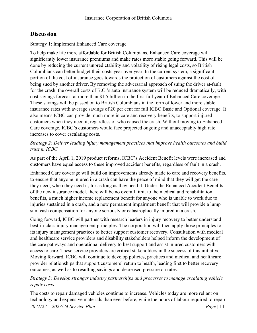#### **Discussion**

#### Strategy 1: Implement Enhanced Care coverage

To help make life more affordable for British Columbians, Enhanced Care coverage will significantly lower insurance premiums and make rates more stable going forward. This will be done by reducing the current unpredictability and volatility of rising legal costs, so British Columbians can better budget their costs year over year. In the current system, a significant portion of the cost of insurance goes towards the protection of customers against the cost of being sued by another driver. By removing the adversarial approach of suing the driver at-fault for the crash, the overall costs of B.C.'s auto insurance system will be reduced dramatically, with cost savings forecast at more than \$1.5 billion in the first full year of Enhanced Care coverage. These savings will be passed on to British Columbians in the form of lower and more stable insurance rates with average savings of 20 per cent for full ICBC Basic and Optional coverage. It also means ICBC can provide much more in care and recovery benefits, to support injured customers when they need it, regardless of who caused the crash. Without moving to Enhanced Care coverage, ICBC's customers would face projected ongoing and unacceptably high rate increases to cover escalating costs.

#### *Strategy 2: Deliver leading injury management practices that improve health outcomes and build trust in ICBC*

As part of the April 1, 2019 product reforms, ICBC's Accident Benefit levels were increased and customers have equal access to these improved accident benefits, regardless of fault in a crash.

Enhanced Care coverage will build on improvements already made to care and recovery benefits, to ensure that anyone injured in a crash can have the peace of mind that they will get the care they need, when they need it, for as long as they need it. Under the Enhanced Accident Benefits of the new insurance model, there will be no overall limit to the medical and rehabilitation benefits, a much higher income replacement benefit for anyone who is unable to work due to injuries sustained in a crash, and a new permanent impairment benefit that will provide a lump sum cash compensation for anyone seriously or catastrophically injured in a crash.

Going forward, ICBC will partner with research leaders in injury recovery to better understand best-in-class injury management principles. The corporation will then apply those principles to its injury management practices to better support customer recovery. Consultation with medical and healthcare service providers and disability stakeholders helped inform the development of the care pathways and operational delivery to best support and assist injured customers with access to care. These service providers are critical stakeholders in the success of this initiative. Moving forward, ICBC will continue to develop policies, practices and medical and healthcare provider relationships that support customers' return to health, leading first to better recovery outcomes, as well as to resulting savings and decreased pressure on rates.

#### *Strategy 3: Develop stronger industry partnerships and processes to manage escalating vehicle repair costs*

The costs to repair damaged vehicles continue to increase. Vehicles today are more reliant on technology and expensive materials than ever before, while the hours of labour required to repair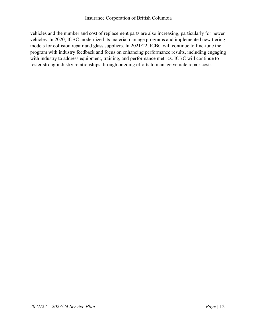vehicles and the number and cost of replacement parts are also increasing, particularly for newer vehicles. In 2020, ICBC modernized its material damage programs and implemented new tiering models for collision repair and glass suppliers. In 2021/22, ICBC will continue to fine-tune the program with industry feedback and focus on enhancing performance results, including engaging with industry to address equipment, training, and performance metrics. ICBC will continue to foster strong industry relationships through ongoing efforts to manage vehicle repair costs.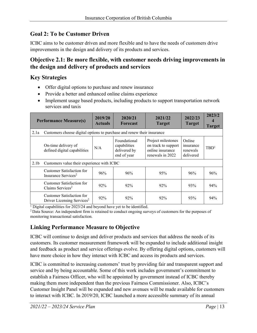#### **Goal 2: To be Customer Driven**

ICBC aims to be customer driven and more flexible and to have the needs of customers drive improvements in the design and delivery of its products and services.

#### **Objective 2.1: Be more flexible, with customer needs driving improvements in the design and delivery of products and services**

#### **Key Strategies**

- Offer digital options to purchase and renew insurance
- Provide a better and enhanced online claims experience
- Implement usage based products, including products to support transportation network services and taxis

| <b>Performance Measure(s)</b> |                                                                        | 2019/20<br><b>Actuals</b> | 2020/21<br><b>Forecast</b>                                  | 2021/22<br><b>Target</b>                                                          | 2022/23<br><b>Target</b>                     | 2023/2<br><b>Target</b> |  |  |
|-------------------------------|------------------------------------------------------------------------|---------------------------|-------------------------------------------------------------|-----------------------------------------------------------------------------------|----------------------------------------------|-------------------------|--|--|
| 2.1a                          | Customers choose digital options to purchase and renew their insurance |                           |                                                             |                                                                                   |                                              |                         |  |  |
|                               | On-time delivery of<br>defined digital capabilities                    | N/A                       | Foundational<br>capabilities<br>delivered by<br>end of year | Project milestones<br>on track to support<br>online insurance<br>renewals in 2022 | Online<br>insurance<br>renewals<br>delivered | TBD <sup>1</sup>        |  |  |
| 2.1 <sub>b</sub>              | Customers value their experience with ICBC                             |                           |                                                             |                                                                                   |                                              |                         |  |  |
|                               | Customer Satisfaction for<br>Insurance Services <sup>2</sup>           | 96%                       | 96%                                                         | 95%                                                                               | 96%                                          | 96%                     |  |  |
|                               | Customer Satisfaction for<br>Claims Services <sup>2</sup>              | 92%                       | 92%                                                         | 92%                                                                               | 93%                                          | 94%                     |  |  |
|                               | Customer Satisfaction for<br>Driver Licensing Services <sup>2</sup>    | 92%                       | 92%                                                         | 92%                                                                               | 93%                                          | 94%                     |  |  |

<sup>1</sup> Digital capabilities for 2023/24 and beyond have yet to be identified.

2 Data Source: An independent firm is retained to conduct ongoing surveys of customers for the purposes of monitoring transactional satisfaction.

### **Linking Performance Measure to Objective**

ICBC will continue to design and deliver products and services that address the needs of its customers. Its customer measurement framework will be expanded to include additional insight and feedback as product and service offerings evolve. By offering digital options, customers will have more choice in how they interact with ICBC and access its products and services.

ICBC is committed to increasing customers' trust by providing fair and transparent support and service and by being accountable. Some of this work includes government's commitment to establish a Fairness Officer, who will be appointed by government instead of ICBC thereby making them more independent than the previous Fairness Commissioner. Also, ICBC's Customer Insight Panel will be expanded and new avenues will be made available for customers to interact with ICBC. In 2019/20, ICBC launched a more accessible summary of its annual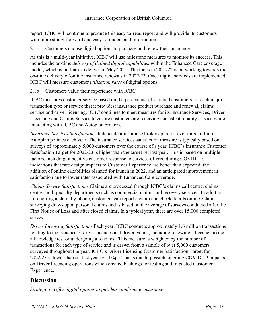report. ICBC will continue to produce this easy-to-read report and will provide its customers with more straightforward and easy-to-understand information.

2.1a Customers choose digital options to purchase and renew their insurance

As this is a multi-year initiative, ICBC will use milestone measures to monitor its success. This includes the on-time *delivery of defined digital capabilities* within the Enhanced Care coverage model, which is on track to deliver in May 2021. The focus in 2021/22 is on working towards the on-time delivery of online insurance renewals in 2022/23. Once digital services are implemented, ICBC will measure customer *utilization rates* of digital options.

2.1b Customers value their experience with ICBC

ICBC measures customer service based on the percentage of satisfied customers for each major transaction type or service that it provides: insurance product purchase and renewal, claims service and driver licensing. ICBC continues to meet measures for its Insurance Services, Driver Licensing and Claims Service to ensure customers are receiving consistent, quality service while interacting with ICBC and Autoplan brokers.

*Insurance Services Satisfaction* - Independent insurance brokers process over three million Autoplan policies each year. The insurance services satisfaction measure is typically based on surveys of approximately 5,000 customers over the course of a year. ICBC's Insurance Customer Satisfaction Target for 2022/23 is higher than the target set last year. This is based on multiple factors, including: a positive customer response to services offered during COVID-19, indications that rate design impacts to Customer Experience are better than expected, the addition of online capabilities planned for launch in 2022, and an anticipated improvement in satisfaction due to lower rates associated with Enhanced Care coverage.

*Claims Service Satisfaction -* Claims are processed through ICBC's claims call centre, claims centres and specialty departments such as commercial claims and recovery services. In addition to reporting a claim by phone, customers can report a claim and check details online. Claims surveying draws upon personal claims and is based on the average of surveys conducted after the First Notice of Loss and after closed claims. In a typical year, there are over 15,000 completed surveys.

*Driver Licensing Satisfaction -* Each year, ICBC conducts approximately 1.6 million transactions relating to the issuance of driver licences and driver exams, including renewing a licence, taking a knowledge test or undergoing a road test. This measure is weighted by the number of transactions for each type of service and is drawn from a sample of over 5,000 customers surveyed throughout the year. ICBC's Driver Licensing Customer Satisfaction Target for 2022/23 is lower than set last year by -1%pt. This is due to possible ongoing COVID-19 impacts on Driver Licencing operations which created backlogs for testing and impacted Customer Experience.

#### **Discussion**

*Strategy 1: Offer digital options to purchase and renew insurance*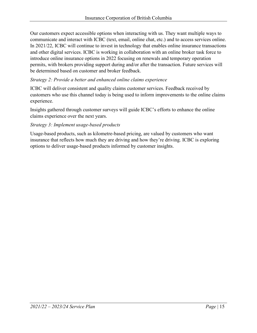Our customers expect accessible options when interacting with us. They want multiple ways to communicate and interact with ICBC (text, email, online chat, etc.) and to access services online. In 2021/22, ICBC will continue to invest in technology that enables online insurance transactions and other digital services. ICBC is working in collaboration with an online broker task force to introduce online insurance options in 2022 focusing on renewals and temporary operation permits, with brokers providing support during and/or after the transaction. Future services will be determined based on customer and broker feedback.

#### *Strategy 2: Provide a better and enhanced online claims experience*

ICBC will deliver consistent and quality claims customer services. Feedback received by customers who use this channel today is being used to inform improvements to the online claims experience.

Insights gathered through customer surveys will guide ICBC's efforts to enhance the online claims experience over the next years.

#### *Strategy 3: Implement usage-based products*

Usage-based products, such as kilometre-based pricing, are valued by customers who want insurance that reflects how much they are driving and how they're driving. ICBC is exploring options to deliver usage-based products informed by customer insights.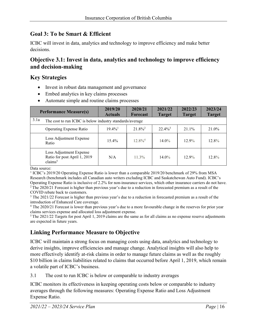#### **Goal 3: To be Smart & Efficient**

ICBC will invest in data, analytics and technology to improve efficiency and make better decisions.

#### **Objective 3.1: Invest in data, analytics and technology to improve efficiency and decision-making**

#### **Key Strategies**

- Invest in robust data management and governance
- Embed analytics in key claims processes
- Automate simple and routine claims processes

| <b>Performance Measure(s)</b>                                                  | 2019/20<br><b>Actuals</b>                                | 2020/21<br><b>Forecast</b> | 2021/22<br><b>Target</b> | 2022/23<br><b>Target</b> | 2023/24<br><b>Target</b> |  |  |  |  |
|--------------------------------------------------------------------------------|----------------------------------------------------------|----------------------------|--------------------------|--------------------------|--------------------------|--|--|--|--|
| 3.1a                                                                           | The cost to run ICBC is below industry standards/average |                            |                          |                          |                          |  |  |  |  |
| <b>Operating Expense Ratio</b>                                                 | $19.4\%$ <sup>1</sup>                                    | $21.8\%^2$                 | $22.4\%$ <sup>3</sup>    | $21.1\%$                 | 21.0%                    |  |  |  |  |
| Loss Adjustment Expense<br>Ratio                                               | $15.4\%$                                                 | $12.8\%$ <sup>4</sup>      | $14.0\%$                 | $12.9\%$                 | 12.8%                    |  |  |  |  |
| Loss Adjustment Expense<br>Ratio for post April 1, 2019<br>clains <sup>5</sup> | N/A                                                      | $11.3\%$                   | $14.0\%$                 | $12.9\%$                 | 12.8%                    |  |  |  |  |

Data source:

<sup>1</sup> ICBC's 2019/20 Operating Expense Ratio is lower than a comparable 2019/20 benchmark of 29% from MSA Research (benchmark includes all Canadian auto writers excluding ICBC and Saskatchewan Auto Fund). ICBC's Operating Expense Ratio is inclusive of 2.2% for non-insurance services, which other insurance carriers do not have. 2 The 2020/21 Forecast is higher than previous year's due to a reduction in forecasted premium as a result of the COVID rebate back to customers.

<sup>3</sup> The 2021/22 Forecast is higher than previous year's due to a reduction in forecasted premium as a result of the introduction of Enhanced Care coverage.

<sup>4</sup> The 2020/21 Forecast is lower than previous year's due to a more favourable change in the reserves for prior year claims services expense and allocated loss adjustment expense.

 $5$  The 2021/22 Targets for post April 1, 2019 claims are the same as for all claims as no expense reserve adjustments are expected in future years.

#### **Linking Performance Measure to Objective**

ICBC will maintain a strong focus on managing costs using data, analytics and technology to derive insights, improve efficiencies and manage change. Analytical insights will also help to more effectively identify at-risk claims in order to manage future claims as well as the roughly \$10 billion in claims liabilities related to claims that occurred before April 1, 2019, which remain a volatile part of ICBC's business.

3.1 The cost to run ICBC is below or comparable to industry averages

ICBC monitors its effectiveness in keeping operating costs below or comparable to industry averages through the following measures: Operating Expense Ratio and Loss Adjustment Expense Ratio.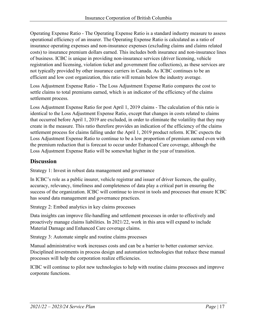Operating Expense Ratio - The Operating Expense Ratio is a standard industry measure to assess operational efficiency of an insurer. The Operating Expense Ratio is calculated as a ratio of insurance operating expenses and non-insurance expenses (excluding claims and claims related costs) to insurance premium dollars earned. This includes both insurance and non-insurance lines of business. ICBC is unique in providing non-insurance services (driver licensing, vehicle registration and licensing, violation ticket and government fine collections), as these services are not typically provided by other insurance carriers in Canada. As ICBC continues to be an efficient and low cost organization, this ratio will remain below the industry average.

Loss Adjustment Expense Ratio - The Loss Adjustment Expense Ratio compares the cost to settle claims to total premiums earned, which is an indicator of the efficiency of the claims settlement process.

Loss Adjustment Expense Ratio for post April 1, 2019 claims - The calculation of this ratio is identical to the Loss Adjustment Expense Ratio, except that changes in costs related to claims that occurred before April 1, 2019 are excluded, in order to eliminate the volatility that they may create in the measure. This ratio therefore provides an indication of the efficiency of the claims settlement process for claims falling under the April 1, 2019 product reform. ICBC expects the Loss Adjustment Expense Ratio to continue to be a low proportion of premium earned even with the premium reduction that is forecast to occur under Enhanced Care coverage, although the Loss Adjustment Expense Ratio will be somewhat higher in the year of transition.

#### **Discussion**

Strategy 1: Invest in robust data management and governance

In ICBC's role as a public insurer, vehicle registrar and issuer of driver licences, the quality, accuracy, relevancy, timeliness and completeness of data play a critical part in ensuring the success of the organization. ICBC will continue to invest in tools and processes that ensure ICBC has sound data management and governance practices.

Strategy 2: Embed analytics in key claims processes

Data insights can improve file-handling and settlement processes in order to effectively and proactively manage claims liabilities. In 2021/22, work in this area will expand to include Material Damage and Enhanced Care coverage claims.

Strategy 3: Automate simple and routine claims processes

Manual administrative work increases costs and can be a barrier to better customer service. Disciplined investments in process design and automation technologies that reduce these manual processes will help the corporation realize efficiencies.

ICBC will continue to pilot new technologies to help with routine claims processes and improve corporate functions.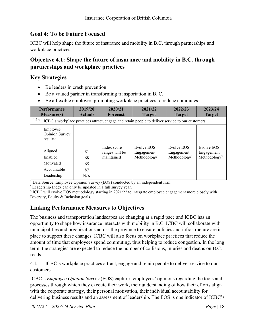#### **Goal 4: To be Future Focused**

ICBC will help shape the future of insurance and mobility in B.C. through partnerships and workplace practices.

#### **Objective 4.1: Shape the future of insurance and mobility in B.C. through partnerships and workplace practices**

#### **Key Strategies**

- Be leaders in crash prevention
- Be a valued partner in transforming transportation in B. C.
- Be a flexible employer, promoting workplace practices to reduce commutes

| <b>Performance</b><br><b>Measure(s)</b>                                                                  | 2019/20<br><b>Actuals</b> | 2020/21<br><b>Forecast</b>                  | 2021/22<br><b>Target</b>                             | 2022/23<br><b>Target</b>                             | 2023/24<br><b>Target</b>                             |  |  |  |  |
|----------------------------------------------------------------------------------------------------------|---------------------------|---------------------------------------------|------------------------------------------------------|------------------------------------------------------|------------------------------------------------------|--|--|--|--|
| 4.1a<br>ICBC's workplace practices attract, engage and retain people to deliver service to our customers |                           |                                             |                                                      |                                                      |                                                      |  |  |  |  |
| Employee<br>Opinion Survey<br>results <sup>1</sup>                                                       |                           |                                             |                                                      |                                                      |                                                      |  |  |  |  |
| Aligned<br>Enabled                                                                                       | 81<br>68                  | Index score<br>ranges will be<br>maintained | Evolve EOS<br>Engagement<br>Methodology <sup>3</sup> | Evolve EOS<br>Engagement<br>Methodology <sup>3</sup> | Evolve EOS<br>Engagement<br>Methodology <sup>3</sup> |  |  |  |  |
| Motivated                                                                                                | 65                        |                                             |                                                      |                                                      |                                                      |  |  |  |  |
| Accountable<br>Leadership <sup>2</sup>                                                                   | 87<br>N/A                 |                                             |                                                      |                                                      |                                                      |  |  |  |  |

<sup>1</sup> Data Source: Employee Opinion Survey (EOS) conducted by an independent firm.<br><sup>2</sup> Leadership Index can only be updated in a full survey year.

<sup>3</sup> ICBC will evolve EOS methodology starting in 2021/22 to integrate employee engagement more closely with Diversity, Equity & Inclusion goals.

# **Linking Performance Measures to Objectives**

The business and transportation landscapes are changing at a rapid pace and ICBC has an opportunity to shape how insurance interacts with mobility in B.C. ICBC will collaborate with municipalities and organizations across the province to ensure policies and infrastructure are in place to support these changes. ICBC will also focus on workplace practices that reduce the amount of time that employees spend commuting, thus helping to reduce congestion. In the long term, the strategies are expected to reduce the number of collisions, injuries and deaths on B.C. roads.

4.1a ICBC's workplace practices attract, engage and retain people to deliver service to our customers

ICBC's *Employee Opinion Survey* (EOS) captures employees' opinions regarding the tools and processes through which they execute their work, their understanding of how their efforts align with the corporate strategy, their personal motivation, their individual accountability for delivering business results and an assessment of leadership. The EOS is one indicator of ICBC's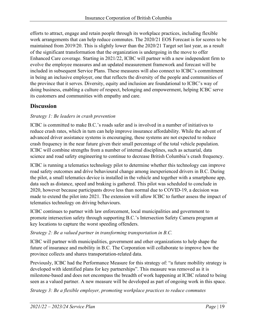efforts to attract, engage and retain people through its workplace practices, including flexible work arrangements that can help reduce commutes. The 2020/21 EOS Forecast is for scores to be maintained from 2019/20. This is slightly lower than the 2020/21 Target set last year, as a result of the significant transformation that the organization is undergoing in the move to offer Enhanced Care coverage. Starting in 2021/22, ICBC will partner with a new independent firm to evolve the employee measures and an updated measurement framework and forecast will be included in subsequent Service Plans. These measures will also connect to ICBC's commitment in being an inclusive employer, one that reflects the diversity of the people and communities of the province that it serves. Diversity, equity and inclusion are foundational to ICBC's way of doing business, enabling a culture of respect, belonging and empowerment, helping ICBC serve its customers and communities with empathy and care.

#### **Discussion**

#### *Strategy 1: Be leaders in crash prevention*

ICBC is committed to make B.C.'s roads safer and is involved in a number of initiatives to reduce crash rates, which in turn can help improve insurance affordability. While the advent of advanced driver assistance systems is encouraging, these systems are not expected to reduce crash frequency in the near future given their small percentage of the total vehicle population. ICBC will combine strengths from a number of internal disciplines, such as actuarial, data science and road safety engineering to continue to decrease British Columbia's crash frequency.

ICBC is running a telematics technology pilot to determine whether this technology can improve road safety outcomes and drive behavioural change among inexperienced drivers in B.C. During the pilot, a small telematics device is installed in the vehicle and together with a smartphone app, data such as distance, speed and braking is gathered. This pilot was scheduled to conclude in 2020, however because participants drove less than normal due to COVID-19, a decision was made to extend the pilot into 2021. The extension will allow ICBC to further assess the impact of telematics technology on driving behaviours.

ICBC continues to partner with law enforcement, local municipalities and government to promote intersection safety through supporting B.C.'s Intersection Safety Camera program at [key locations to capture the worst speeding offenders.](https://news.gov.bc.ca/releases/2018PSSG0015-000342)

*Strategy 2: Be a valued partner in transforming transportation in B.C.*

ICBC will partner with municipalities, government and other organizations to help shape the future of insurance and mobility in B.C. The Corporation will collaborate to improve how the province collects and shares transportation-related data.

Previously, ICBC had the Performance Measure for this strategy of: "a future mobility strategy is developed with identified plans for key partnerships". This measure was removed as it is milestone-based and does not encompass the breadth of work happening at ICBC related to being seen as a valued partner. A new measure will be developed as part of ongoing work in this space.

*Strategy 3: Be a flexible employer, promoting workplace practices to reduce commutes*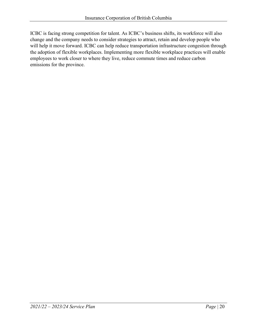ICBC is facing strong competition for talent. As ICBC's business shifts, its workforce will also change and the company needs to consider strategies to attract, retain and develop people who will help it move forward. ICBC can help reduce transportation infrastructure congestion through the adoption of flexible workplaces. Implementing more flexible workplace practices will enable employees to work closer to where they live, reduce commute times and reduce carbon emissions for the province.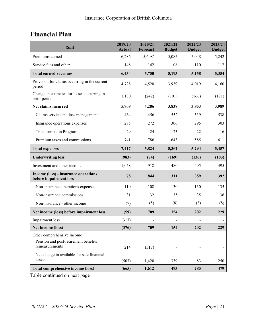# <span id="page-20-0"></span>**Financial Plan**

<span id="page-20-1"></span>

| (Sm)                                                                                 | 2019/20<br><b>Actual</b> | 2020/21<br><b>Forecast</b> | 2021/22<br><b>Budget</b> | 2022/23<br><b>Budget</b> | 2023/24<br><b>Budget</b> |
|--------------------------------------------------------------------------------------|--------------------------|----------------------------|--------------------------|--------------------------|--------------------------|
| Premiums earned                                                                      | 6,286                    | 5,608 <sup>1</sup>         | 5,085                    | 5,048                    | 5,242                    |
| Service fees and other                                                               | 148                      | 142                        | 108                      | 110                      | 112                      |
| <b>Total earned revenues</b>                                                         | 6,434                    | 5,750                      | 5,193                    | 5,158                    | 5,354                    |
| Provision for claims occurring in the current<br>period                              | 4,728                    | 4,528                      | 3,939                    | 4,019                    | 4,160                    |
| Change in estimates for losses occurring in<br>prior periods                         | 1,180                    | (242)                      | (101)                    | (166)                    | (171)                    |
| Net claims incurred                                                                  | 5,908                    | 4,286                      | 3,838                    | 3,853                    | 3,989                    |
| Claims service and loss management                                                   | 464                      | 456                        | 552                      | 539                      | 538                      |
| Insurance operations expenses                                                        | 275                      | 272                        | 306                      | 295                      | 303                      |
| <b>Transformation Program</b>                                                        | 29                       | 24                         | 23                       | 22                       | 16                       |
| Premium taxes and commissions                                                        | 741                      | 786                        | 643                      | 585                      | 611                      |
| <b>Total expenses</b>                                                                | 7,417                    | 5,824                      | 5,362                    | 5,294                    | 5,457                    |
| <b>Underwriting loss</b>                                                             | (983)                    | (74)                       | (169)                    | (136)                    | (103)                    |
| Investment and other income                                                          | 1,058                    | 918                        | 480                      | 495                      | 495                      |
| Income (loss) - insurance operations<br>before impairment loss                       | 75                       | 844                        | 311                      | 359                      | 392                      |
| Non-insurance operations expenses                                                    | 110                      | 108                        | 130                      | 130                      | 135                      |
| Non-insurance commissions                                                            | 31                       | 32                         | 35                       | 35                       | 36                       |
| Non-insurance - other income                                                         | (7)                      | (5)                        | (8)                      | (8)                      | (8)                      |
| Net income (loss) before impairment loss                                             | (59)                     | 709                        | 154                      | 202                      | 229                      |
| Impairment loss                                                                      | (317)                    |                            |                          |                          |                          |
| Net income (loss)                                                                    | (376)                    | 709                        | 154                      | 202                      | 229                      |
| Other comprehensive income<br>Pension and post-retirement benefits<br>remeasurements | 214                      | (517)                      |                          |                          |                          |
| Net change in available for sale financial<br>assets                                 | (503)                    | 1,420                      | 339                      | 83                       | 250                      |
| Total comprehensive income (loss)                                                    | (665)                    | 1,612                      | 493                      | 285                      | 479                      |

Table continued on next page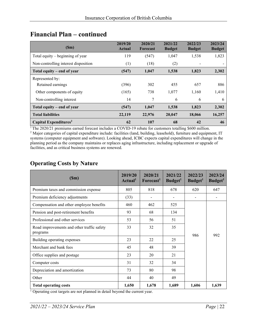<span id="page-21-1"></span>

| (Sm)                                 | 2019/20<br>Actual | 2020/21<br>Forecast | 2021/22<br><b>Budget</b> | 2022/23<br><b>Budget</b> | 2023/24<br><b>Budget</b> |
|--------------------------------------|-------------------|---------------------|--------------------------|--------------------------|--------------------------|
| Total equity $-$ beginning of year   | 119               | (547)               | 1,047                    | 1,538                    | 1,823                    |
| Non-controlling interest disposition | (1)               | (18)                | (2)                      |                          |                          |
| Total equity – end of year           | (547)             | 1,047               | 1,538                    | 1,823                    | 2,302                    |
| Represented by:                      |                   |                     |                          |                          |                          |
| Retained earnings                    | (396)             | 302                 | 455                      | 657                      | 886                      |
| Other components of equity           | (165)             | 738                 | 1,077                    | 1,160                    | 1,410                    |
| Non-controlling interest             | 14                | 7                   | 6                        | 6                        | 6                        |
| Total equity – end of year           | (547)             | 1,047               | 1,538                    | 1,823                    | 2,302                    |
| <b>Total liabilities</b>             | 22,119            | 22,976              | 20,047                   | 18,066                   | 16,257                   |
| Capital Expenditures <sup>2</sup>    | 62                | 107                 | 68                       | 42                       | 46                       |

# <span id="page-21-0"></span>**Financial Plan – continued**

<sup>1</sup>The 2020/21 premiums earned forecast includes a COVID-19 rebate for customers totalling \$600 million. <sup>2</sup> Major categories of capital expenditure include: facilities (land, building, leasehold), furniture and equipment, IT systems (computer equipment and software). Looking ahead, ICBC expects capital expenditures will change in the planning period as the company maintains or replaces aging infrastructure, including replacement or upgrade of facilities, and as critical business systems are renewed.

#### <span id="page-21-2"></span>**Operating Costs by Nature**

| (Sm)                                                   | 2019/20<br>Actual <sup>1</sup> | 2020/21<br>Forecast <sup>1</sup> | 2021/22<br>Budget <sup>1</sup> | 2022/23<br>Budget <sup>1</sup> | 2023/24<br>Budget <sup>1</sup> |
|--------------------------------------------------------|--------------------------------|----------------------------------|--------------------------------|--------------------------------|--------------------------------|
| Premium taxes and commission expense                   | 805                            | 818                              | 678                            | 620                            | 647                            |
| Premium deficiency adjustments                         | (33)                           |                                  |                                |                                |                                |
| Compensation and other employee benefits               | 460                            | 462                              | 525                            |                                |                                |
| Pension and post-retirement benefits                   | 93                             | 68                               | 134                            |                                |                                |
| Professional and other services                        | 53                             | 56                               | 51                             |                                | 992                            |
| Road improvements and other traffic safety<br>programs | 33                             | 32                               | 35                             | 986                            |                                |
| Building operating expenses                            | 23                             | 22                               | 25                             |                                |                                |
| Merchant and bank fees                                 | 45                             | 48                               | 39                             |                                |                                |
| Office supplies and postage                            | 23                             | 20                               | 21                             |                                |                                |
| Computer costs                                         | 31                             | 32                               | 34                             |                                |                                |
| Depreciation and amortization                          | 73                             | 80                               | 98                             |                                |                                |
| Other                                                  | 44                             | 40                               | 49                             |                                |                                |
| <b>Total operating costs</b>                           | 1,650                          | 1,678                            | 1,689                          | 1,606                          | 1,639                          |

<sup>1</sup> Operating cost targets are not planned in detail beyond the current year.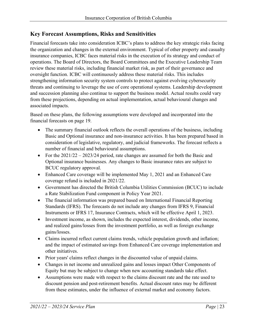#### <span id="page-22-0"></span>**Key Forecast Assumptions, Risks and Sensitivities**

Financial forecasts take into consideration ICBC's plans to address the key strategic risks facing the organization and changes in the external environment. Typical of other property and casualty insurance companies, ICBC faces material risks in the execution of its strategy and conduct of operations. The Board of Directors, the Board Committees and the Executive Leadership Team review these material risks, including financial market risk, as part of their governance and oversight function. ICBC will continuously address these material risks. This includes strengthening information security system controls to protect against evolving cybersecurity threats and continuing to leverage the use of core operational systems. Leadership development and succession planning also continue to support the business model. Actual results could vary from these projections, depending on actual implementation, actual behavioural changes and associated impacts.

Based on these plans, the following assumptions were developed and incorporated into the financial forecasts on page 19.

- The summary financial outlook reflects the overall operations of the business, including Basic and Optional insurance and non-insurance activities. It has been prepared based in consideration of legislative, regulatory, and judicial frameworks. The forecast reflects a number of financial and behavioural assumptions.
- For the  $2021/22 2023/24$  period, rate changes are assumed for both the Basic and Optional insurance businesses. Any changes to Basic insurance rates are subject to BCUC regulatory approval.
- Enhanced Care coverage will be implemented May 1, 2021 and an Enhanced Care coverage refund is included in 2021/22.
- Government has directed the British Columbia Utilities Commission (BCUC) to include a Rate Stabilization Fund component in Policy Year 2021.
- The financial information was prepared based on International Financial Reporting Standards (IFRS). The forecasts do not include any changes from IFRS 9, Financial Instruments or IFRS 17, Insurance Contracts, which will be effective April 1, 2023.
- Investment income, as shown, includes the expected interest, dividends, other income, and realized gains/losses from the investment portfolio, as well as foreign exchange gains/losses.
- Claims incurred reflect current claims trends, vehicle population growth and inflation; and the impact of estimated savings from Enhanced Care coverage implementation and other initiatives.
- Prior years' claims reflect changes in the discounted value of unpaid claims.
- Changes in net income and unrealized gains and losses impact Other Components of Equity but may be subject to change when new accounting standards take effect.
- Assumptions were made with respect to the claims discount rate and the rate used to discount pension and post-retirement benefits. Actual discount rates may be different from these estimates, under the influence of external market and economy factors.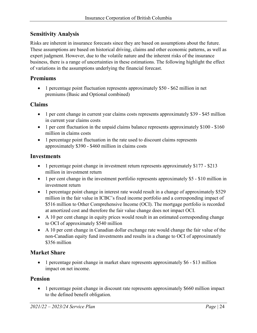#### <span id="page-23-0"></span>**Sensitivity Analysis**

Risks are inherent in insurance forecasts since they are based on assumptions about the future. These assumptions are based on historical driving, claims and other economic patterns, as well as expert judgment. However, due to the volatile nature and the inherent risks of the insurance business, there is a range of uncertainties in these estimations. The following highlight the effect of variations in the assumptions underlying the financial forecast.

#### **Premiums**

• 1 percentage point fluctuation represents approximately \$50 - \$62 million in net premiums (Basic and Optional combined)

#### **Claims**

- 1 per cent change in current year claims costs represents approximately \$39 \$45 million in current year claims costs
- 1 per cent fluctuation in the unpaid claims balance represents approximately \$100 \$160 million in claims costs
- 1 percentage point fluctuation in the rate used to discount claims represents approximately \$390 - \$460 million in claims costs

#### **Investments**

- 1 percentage point change in investment return represents approximately \$177 \$213 million in investment return
- 1 per cent change in the investment portfolio represents approximately \$5 \$10 million in investment return
- 1 percentage point change in interest rate would result in a change of approximately \$529 million in the fair value in ICBC's fixed income portfolio and a corresponding impact of \$516 million to Other Comprehensive Income (OCI). The mortgage portfolio is recorded at amortized cost and therefore the fair value change does not impact OCI.
- A 10 per cent change in equity prices would result in an estimated corresponding change to OCI of approximately \$540 million
- A 10 per cent change in Canadian dollar exchange rate would change the fair value of the non-Canadian equity fund investments and results in a change to OCI of approximately \$356 million

#### **Market Share**

• 1 percentage point change in market share represents approximately \$6 - \$13 million impact on net income.

#### **Pension**

• 1 percentage point change in discount rate represents approximately \$660 million impact to the defined benefit obligation.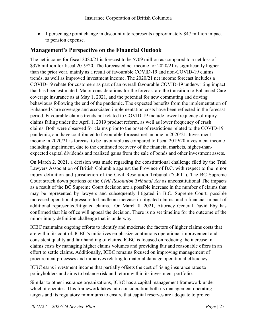• 1 percentage point change in discount rate represents approximately \$47 million impact to pension expense.

#### <span id="page-24-0"></span>**Management's Perspective on the Financial Outlook**

The net income for fiscal 2020/21 is forecast to be \$709 million as compared to a net loss of \$376 million for fiscal 2019/20. The forecasted net income for 2020/21 is significantly higher than the prior year, mainly as a result of favourable COVID-19 and non-COVID-19 claims trends, as well as improved investment income. The 2020/21 net income forecast includes a COVID-19 rebate for customers as part of an overall favourable COVID-19 underwriting impact that has been estimated. Major considerations for the forecast are the transition to Enhanced Care coverage insurance as at May 1, 2021, and the potential for new commuting and driving behaviours following the end of the pandemic. The expected benefits from the implementation of Enhanced Care coverage and associated implementation costs have been reflected in the forecast period. Favourable claims trends not related to COVID-19 include lower frequency of injury claims falling under the April 1, 2019 product reform, as well as lower frequency of crash claims. Both were observed for claims prior to the onset of restrictions related to the COVID-19 pandemic, and have contributed to favourable forecast net income in 2020/21. Investment income in 2020/21 is forecast to be favourable as compared to fiscal 2019/20 investment income including impairment, due to the continued recovery of the financial markets, higher-thanexpected capital dividends and realized gains from the sale of bonds and other investment assets.

On March 2, 2021, a decision was made regarding the constitutional challenge filed by the Trial Lawyers Association of British Columbia against the Province of B.C. with respect to the minor injury definition and jurisdiction of the Civil Resolution Tribunal ("CRT"). The BC Supreme Court struck down portions of the *Civil Resolution Tribunal Act* as unconstitutional The impacts as a result of the BC Supreme Court decision are a possible increase in the number of claims that may be represented by lawyers and subsequently litigated in B.C. Supreme Court, possible increased operational pressure to handle an increase in litigated claims, and a financial impact of additional represented/litigated claims. On March 8, 2021, Attorney General David Eby has confirmed that his office will appeal the decision. There is no set timeline for the outcome of the minor injury definition challenge that is underway.

ICBC maintains ongoing efforts to identify and moderate the factors of higher claims costs that are within its control. ICBC's initiatives emphasize continuous operational improvement and consistent quality and fair handling of claims. ICBC is focused on reducing the increase in claims costs by managing higher claims volumes and providing fair and reasonable offers in an effort to settle claims. Additionally, ICBC remains focused on improving management of procurement processes and initiatives relating to material damage operational efficiency.

ICBC earns investment income that partially offsets the cost of rising insurance rates to policyholders and aims to balance risk and return within its investment portfolio.

Similar to other insurance organizations, ICBC has a capital management framework under which it operates. This framework takes into consideration both its management operating targets and its regulatory minimums to ensure that capital reserves are adequate to protect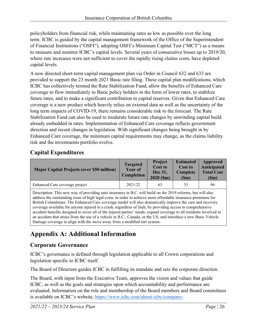policyholders from financial risk, while maintaining rates as low as possible over the long term. ICBC is guided by the capital management framework of the Office of the Superintendent of Financial Institutions ("OSFI"), adopting OSFI's Minimum Capital Test ("MCT") as a means to measure and monitor ICBC's capital levels. Several years of consecutive losses up to 2019/20, where rate increases were not sufficient to cover the rapidly rising claims costs, have depleted capital levels.

A new directed short-term capital management plan via Order in Council 632 and 633 are provided to support the 23 month 2021 Basic rate filing. These capital plan modifications, which ICBC has collectively termed the Rate Stabilization Fund, allow the benefits of Enhanced Care coverage to flow immediately to Basic policy holders in the form of lower rates, to stabilize future rates, and to make a significant contribution to capital reserves. Given that Enhanced Care coverage is a new product which heavily relies on external data as well as the uncertainty of the long term impacts of COVID-19, there remains considerable risk to the forecast. The Rate Stabilization Fund can also be used to moderate future rate changes by unwinding capital build already embedded in rates. Implementation of Enhanced Care coverage reflects government direction and recent changes in legislation. With significant changes being brought in by Enhanced Care coverage, the minimum capital requirements may change, as the claims liability risk and the investments portfolio evolve.

#### <span id="page-25-0"></span>**Capital Expenditures**

| <b>Major Capital Projects (over \$50 million)</b> | <b>Targeted</b><br>Year of<br><b>Completion</b> | <b>Project</b><br><b>Cost to</b><br>Dec 31,<br>2020 (Sm) | <b>Estimated</b><br><b>Cost to</b><br>Complete<br>(Sm) | Approved<br><b>Anticipated</b><br><b>Total Cost</b><br>(Sm) |
|---------------------------------------------------|-------------------------------------------------|----------------------------------------------------------|--------------------------------------------------------|-------------------------------------------------------------|
| Enhanced Care coverage project                    | 2021/22                                         | 63                                                       | 33                                                     | 96                                                          |

Description: This new way of providing auto insurance in B.C. will build on the 2019 reforms, but will also address the outstanding issue of high legal costs, in order to achieve more affordable insurance premiums for British Columbians. The Enhanced Care coverage model will also dramatically improve the care and recovery coverage available for anyone injured in a crash, regardless of fault, by providing access to comprehensive accident benefits designed to cover all of the injured parties' needs; expand coverage to all residents involved in an accident that arises from the use of a vehicle in B.C., Canada, or the US; and introduce a new Basic Vehicle Damage coverage to align with the move away from a modified tort system.

# <span id="page-25-1"></span>**Appendix A: Additional Information**

#### **Corporate Governance**

ICBC's governance is defined through legislation applicable to all Crown corporations and legislation specific to ICBC itself.

The Board of Directors guides ICBC in fulfilling its mandate and sets the corporate direction.

The Board, with input from the Executive Team, approves the vision and values that guide ICBC, as well as the goals and strategies upon which accountability and performance are evaluated. Information on the role and membership of the Board members and Board committees is available on ICBC's website, [https://www.icbc.com/about-icbc/company-](https://www.icbc.com/about-icbc/company-info/Pages/Corporate-governance.aspx)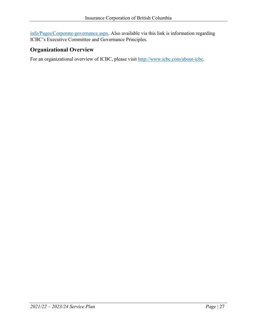[info/Pages/Corporate-governance.aspx.](https://www.icbc.com/about-icbc/company-info/Pages/Corporate-governance.aspx) Also available via this link is information regarding ICBC's Executive Committee and Governance Principles.

#### **Organizational Overview**

For an organizational overview of ICBC, please visit [http://www.icbc.com/about-icbc.](http://www.icbc.com/about-icbc)